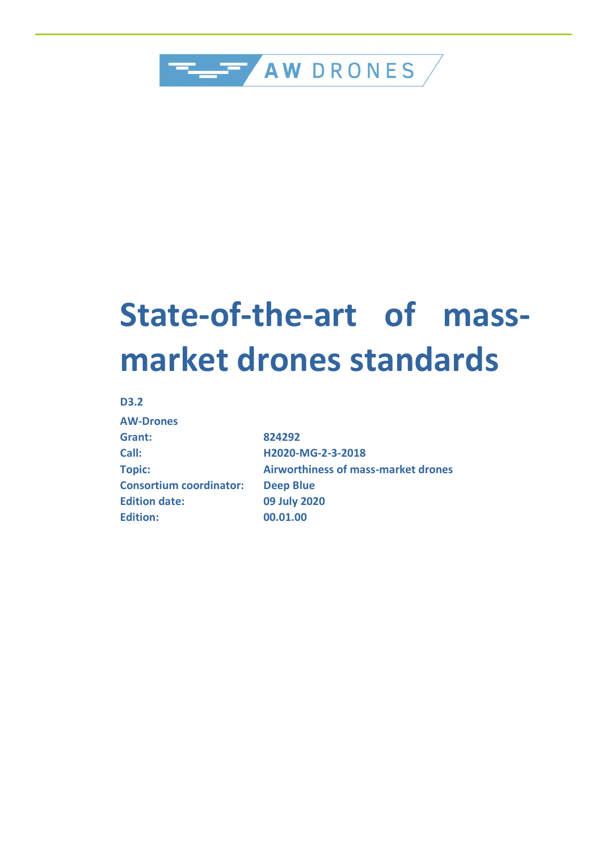

# **State-of-the-art of massmarket drones standards**

#### **D3.2**

| <b>AW-Drones</b>               |
|--------------------------------|
| Grant:                         |
| Call:                          |
| <b>Topic:</b>                  |
| <b>Consortium coordinator:</b> |
| <b>Edition date:</b>           |
| <b>Edition:</b>                |

**Grant: 824292 Call: H2020-MG-2-3-2018 Topic: Airworthiness of mass-market drones Deep Blue Edition date: 09 July 2020 Edition: 00.01.00**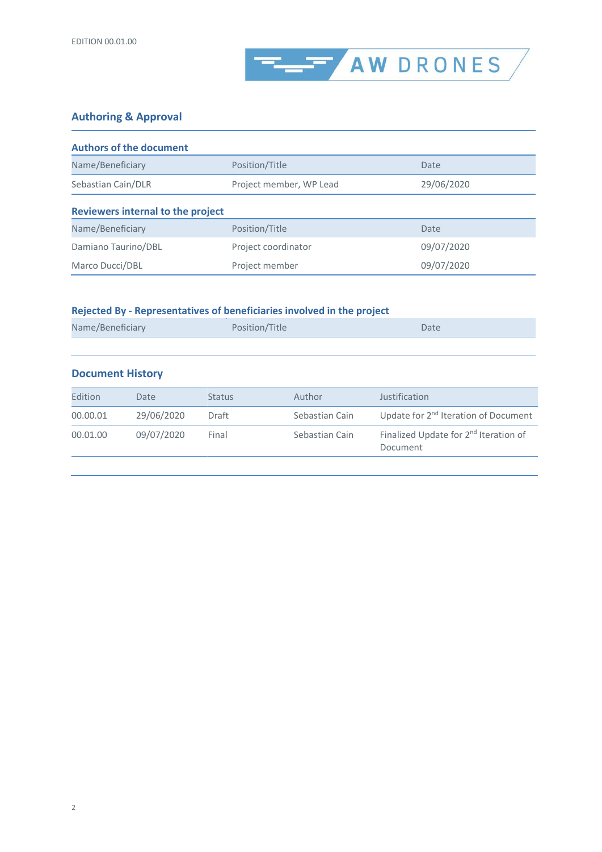

### **Authoring & Approval**

| <b>Authors of the document</b>           |                         |            |  |  |  |  |
|------------------------------------------|-------------------------|------------|--|--|--|--|
| Name/Beneficiary                         | Position/Title          | Date       |  |  |  |  |
| Sebastian Cain/DLR                       | Project member, WP Lead | 29/06/2020 |  |  |  |  |
| <b>Reviewers internal to the project</b> |                         |            |  |  |  |  |
| Name/Beneficiary                         | Position/Title          | Date       |  |  |  |  |
| Damiano Taurino/DBL                      | Project coordinator     | 09/07/2020 |  |  |  |  |
| Marco Ducci/DBL                          | Project member          | 09/07/2020 |  |  |  |  |

### **Rejected By - Representatives of beneficiaries involved in the project**

| Name/Beneficiary<br>Position/Title | Date |
|------------------------------------|------|
|------------------------------------|------|

#### **Document History**

| Edition  | Date       | <b>Status</b> | Author         | Justification                                                 |
|----------|------------|---------------|----------------|---------------------------------------------------------------|
| 00.00.01 | 29/06/2020 | Draft         | Sebastian Cain | Update for 2 <sup>nd</sup> Iteration of Document              |
| 00.01.00 | 09/07/2020 | Final         | Sebastian Cain | Finalized Update for 2 <sup>nd</sup> Iteration of<br>Document |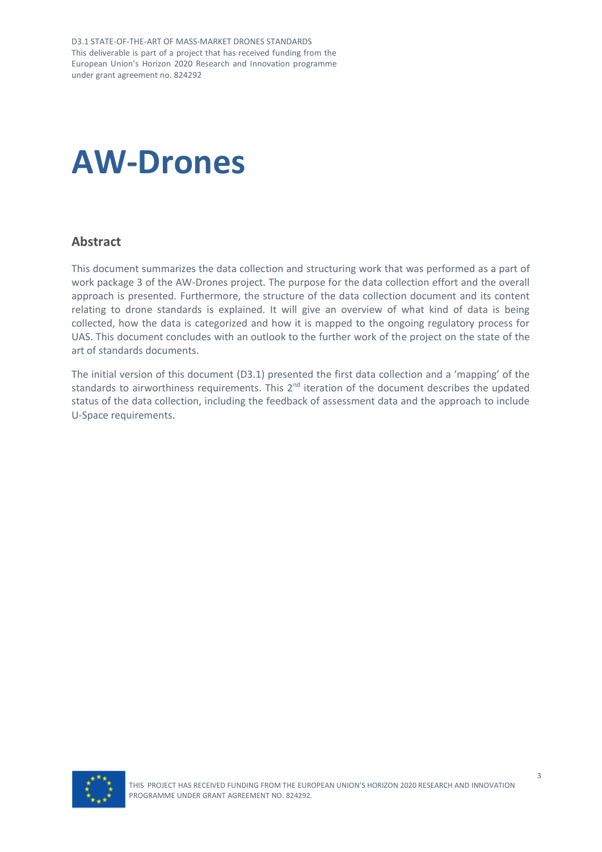D3.1 STATE-OF-THE-ART OF MASS-MARKET DRONES STANDARDS This deliverable is part of a project that has received funding from the European Union's Horizon 2020 Research and Innovation programme under grant agreement no. 824292

# **AW-Drones**

### <span id="page-2-0"></span>**Abstract**

This document summarizes the data collection and structuring work that was performed as a part of work package 3 of the AW-Drones project. The purpose for the data collection effort and the overall approach is presented. Furthermore, the structure of the data collection document and its content relating to drone standards is explained. It will give an overview of what kind of data is being collected, how the data is categorized and how it is mapped to the ongoing regulatory process for UAS. This document concludes with an outlook to the further work of the project on the state of the art of standards documents.

The initial version of this document (D3.1) presented the first data collection and a 'mapping' of the standards to airworthiness requirements. This 2<sup>nd</sup> iteration of the document describes the updated status of the data collection, including the feedback of assessment data and the approach to include U-Space requirements.

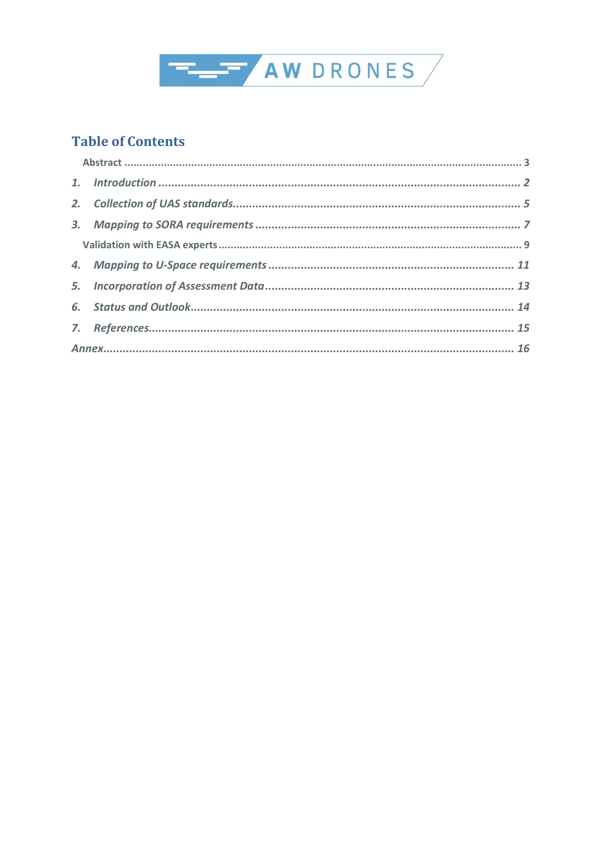

### **Table of Contents**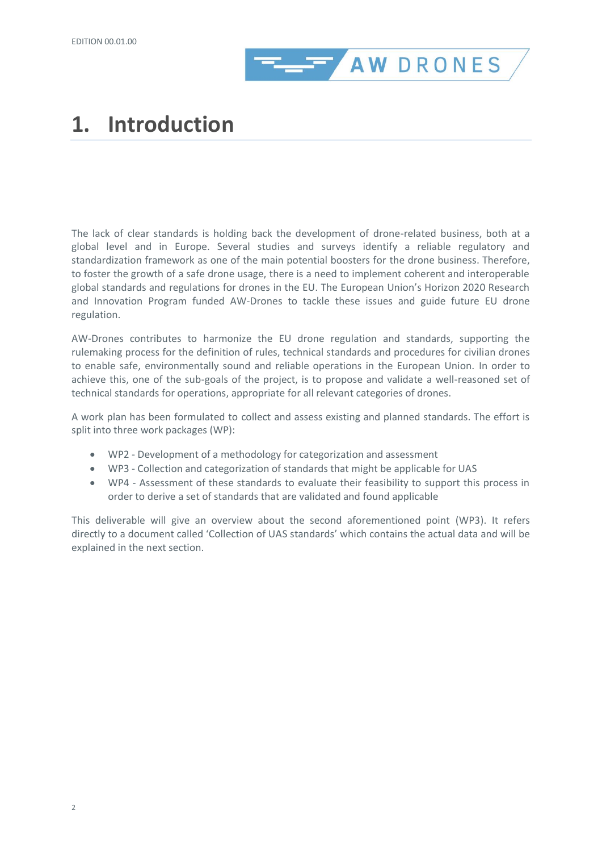

# <span id="page-5-0"></span>**1. Introduction**

The lack of clear standards is holding back the development of drone-related business, both at a global level and in Europe. Several studies and surveys identify a reliable regulatory and standardization framework as one of the main potential boosters for the drone business. Therefore, to foster the growth of a safe drone usage, there is a need to implement coherent and interoperable global standards and regulations for drones in the EU. The European Union's Horizon 2020 Research and Innovation Program funded AW-Drones to tackle these issues and guide future EU drone regulation.

AW-Drones contributes to harmonize the EU drone regulation and standards, supporting the rulemaking process for the definition of rules, technical standards and procedures for civilian drones to enable safe, environmentally sound and reliable operations in the European Union. In order to achieve this, one of the sub-goals of the project, is to propose and validate a well-reasoned set of technical standards for operations, appropriate for all relevant categories of drones.

A work plan has been formulated to collect and assess existing and planned standards. The effort is split into three work packages (WP):

- WP2 Development of a methodology for categorization and assessment
- WP3 Collection and categorization of standards that might be applicable for UAS
- WP4 Assessment of these standards to evaluate their feasibility to support this process in order to derive a set of standards that are validated and found applicable

This deliverable will give an overview about the second aforementioned point (WP3). It refers directly to a document called 'Collection of UAS standards' which contains the actual data and will be explained in the next section.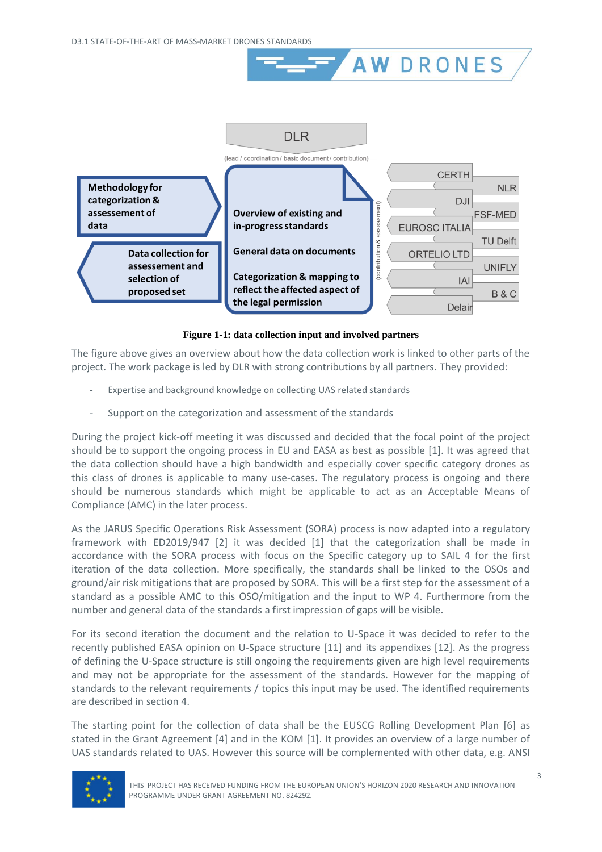

**AW DRONES** 

**Figure 1-1: data collection input and involved partners**

The figure above gives an overview about how the data collection work is linked to other parts of the project. The work package is led by DLR with strong contributions by all partners. They provided:

- Expertise and background knowledge on collecting UAS related standards
- Support on the categorization and assessment of the standards

During the project kick-off meeting it was discussed and decided that the focal point of the project should be to support the ongoing process in EU and EASA as best as possible [\[1\].](#page-18-1) It was agreed that the data collection should have a high bandwidth and especially cover specific category drones as this class of drones is applicable to many use-cases. The regulatory process is ongoing and there should be numerous standards which might be applicable to act as an Acceptable Means of Compliance (AMC) in the later process.

As the JARUS Specific Operations Risk Assessment (SORA) process is now adapted into a regulatory framework with ED2019/947 [\[2\]](#page-18-2) it was decided [\[1\]](#page-18-1) that the categorization shall be made in accordance with the SORA process with focus on the Specific category up to SAIL 4 for the first iteration of the data collection. More specifically, the standards shall be linked to the OSOs and ground/air risk mitigations that are proposed by SORA. This will be a first step for the assessment of a standard as a possible AMC to this OSO/mitigation and the input to WP 4. Furthermore from the number and general data of the standards a first impression of gaps will be visible.

For its second iteration the document and the relation to U-Space it was decided to refer to the recently published EASA opinion on U-Space structure [\[11\]](#page-18-3) and its appendixes [\[12\].](#page-18-4) As the progress of defining the U-Space structure is still ongoing the requirements given are high level requirements and may not be appropriate for the assessment of the standards. However for the mapping of standards to the relevant requirements / topics this input may be used. The identified requirements are described in section [4.](#page-14-0)

The starting point for the collection of data shall be the EUSCG Rolling Development Plan [\[6\]](#page-18-5) as stated in the Grant Agreement [\[4\]](#page-18-6) and in the KOM [\[1\].](#page-18-1) It provides an overview of a large number of UAS standards related to UAS. However this source will be complemented with other data, e.g. ANSI

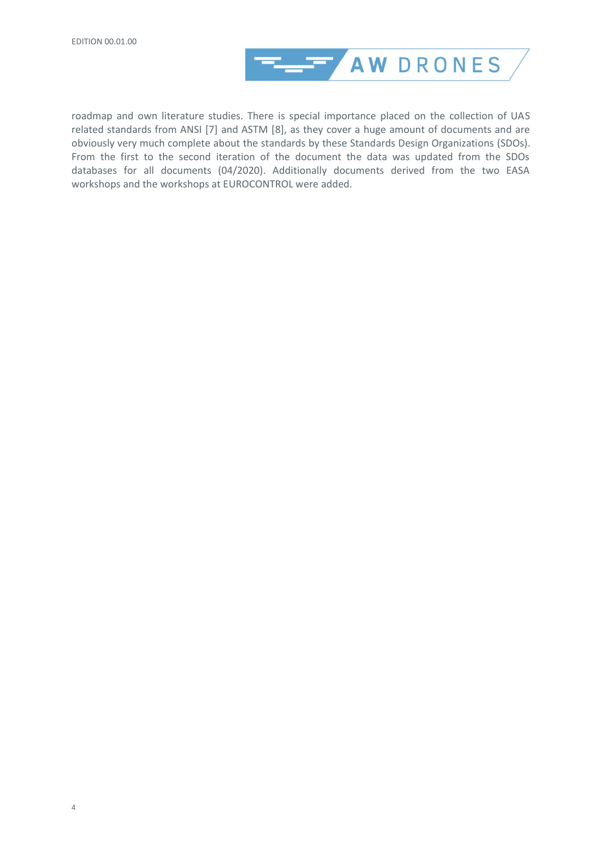

roadmap and own literature studies. There is special importance placed on the collection of UAS related standards from ANSI [\[7\]](#page-18-7) and ASTM [\[8\],](#page-18-8) as they cover a huge amount of documents and are obviously very much complete about the standards by these Standards Design Organizations (SDOs). From the first to the second iteration of the document the data was updated from the SDOs databases for all documents (04/2020). Additionally documents derived from the two EASA workshops and the workshops at EUROCONTROL were added.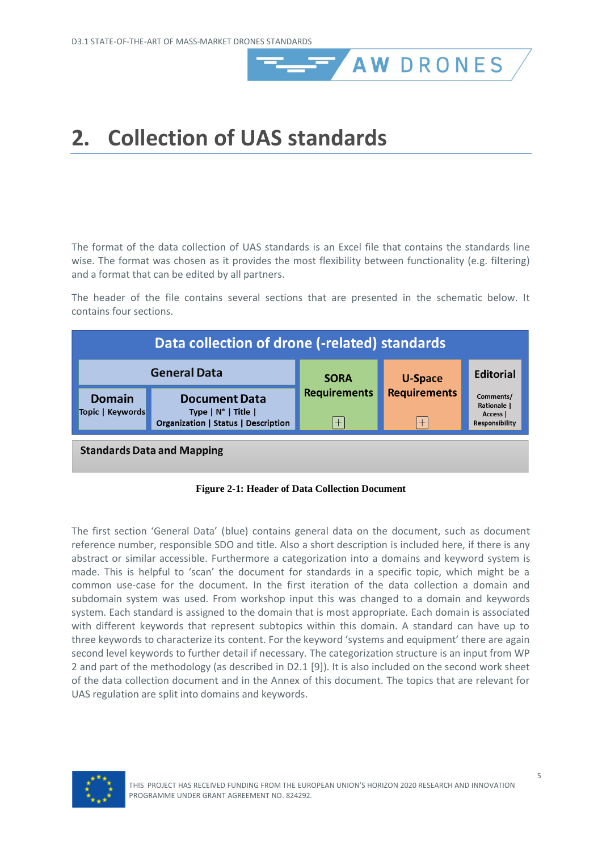# <span id="page-8-0"></span>**2. Collection of UAS standards**

The format of the data collection of UAS standards is an Excel file that contains the standards line wise. The format was chosen as it provides the most flexibility between functionality (e.g. filtering) and a format that can be edited by all partners.

**AW DRONES** 

The header of the file contains several sections that are presented in the schematic below. It contains four sections.

| Data collection of drone (-related) standards |                                                                                                  |                               |                            |                                                        |  |
|-----------------------------------------------|--------------------------------------------------------------------------------------------------|-------------------------------|----------------------------|--------------------------------------------------------|--|
|                                               | <b>General Data</b>                                                                              | <b>SORA</b>                   | <b>U-Space</b>             | <b>Editorial</b>                                       |  |
| <b>Domain</b><br>Topic   Keywords             | <b>Document Data</b><br>Type $ N^\circ $ Title $ $<br><b>Organization   Status   Description</b> | <b>Requirements</b><br>$^{+}$ | <b>Requirements</b><br>$+$ | Comments/<br>Rationale  <br>Access  <br>Responsibility |  |
| <b>Standards Data and Mapping</b>             |                                                                                                  |                               |                            |                                                        |  |



The first section 'General Data' (blue) contains general data on the document, such as document reference number, responsible SDO and title. Also a short description is included here, if there is any abstract or similar accessible. Furthermore a categorization into a domains and keyword system is made. This is helpful to 'scan' the document for standards in a specific topic, which might be a common use-case for the document. In the first iteration of the data collection a domain and subdomain system was used. From workshop input this was changed to a domain and keywords system. Each standard is assigned to the domain that is most appropriate. Each domain is associated with different keywords that represent subtopics within this domain. A standard can have up to three keywords to characterize its content. For the keyword 'systems and equipment' there are again second level keywords to further detail if necessary. The categorization structure is an input from WP 2 and part of the methodology (as described in D2.1 [\[9\]\)](#page-18-9). It is also included on the second work sheet of the data collection document and in the Annex of this document. The topics that are relevant for UAS regulation are split into domains and keywords.

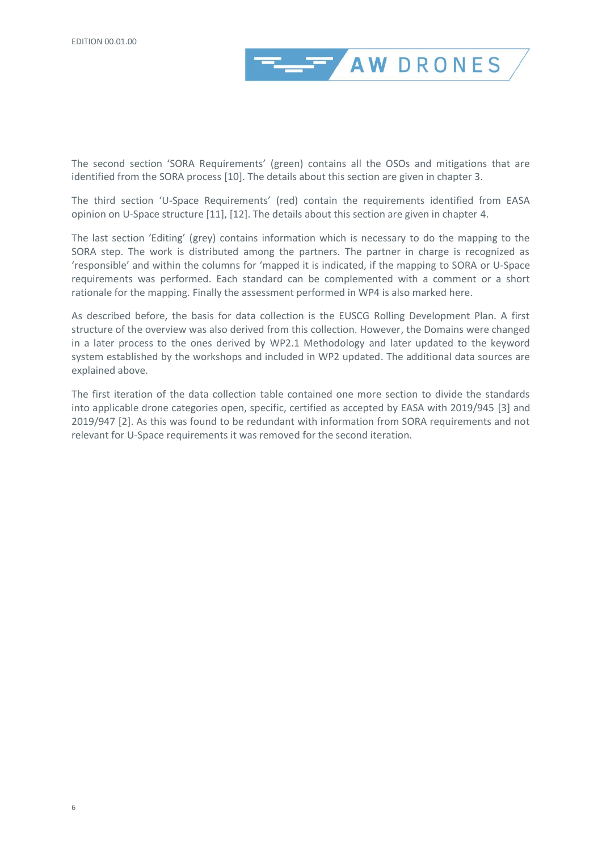

The second section 'SORA Requirements' (green) contains all the OSOs and mitigations that are identified from the SORA process [\[10\].](#page-18-10) The details about this section are given in chapter [3.](#page-10-0)

The third section 'U-Space Requirements' (red) contain the requirements identified from EASA opinion on U-Space structure [\[11\],](#page-18-3) [\[12\].](#page-18-4) The details about this section are given in chapter [4.](#page-14-0)

The last section 'Editing' (grey) contains information which is necessary to do the mapping to the SORA step. The work is distributed among the partners. The partner in charge is recognized as 'responsible' and within the columns for 'mapped it is indicated, if the mapping to SORA or U-Space requirements was performed. Each standard can be complemented with a comment or a short rationale for the mapping. Finally the assessment performed in WP4 is also marked here.

As described before, the basis for data collection is the EUSCG Rolling Development Plan. A first structure of the overview was also derived from this collection. However, the Domains were changed in a later process to the ones derived by WP2.1 Methodology and later updated to the keyword system established by the workshops and included in WP2 updated. The additional data sources are explained above.

The first iteration of the data collection table contained one more section to divide the standards into applicable drone categories open, specific, certified as accepted by EASA with 2019/945 [\[3\]](#page-18-11) and 2019/947 [\[2\].](#page-18-2) As this was found to be redundant with information from SORA requirements and not relevant for U-Space requirements it was removed for the second iteration.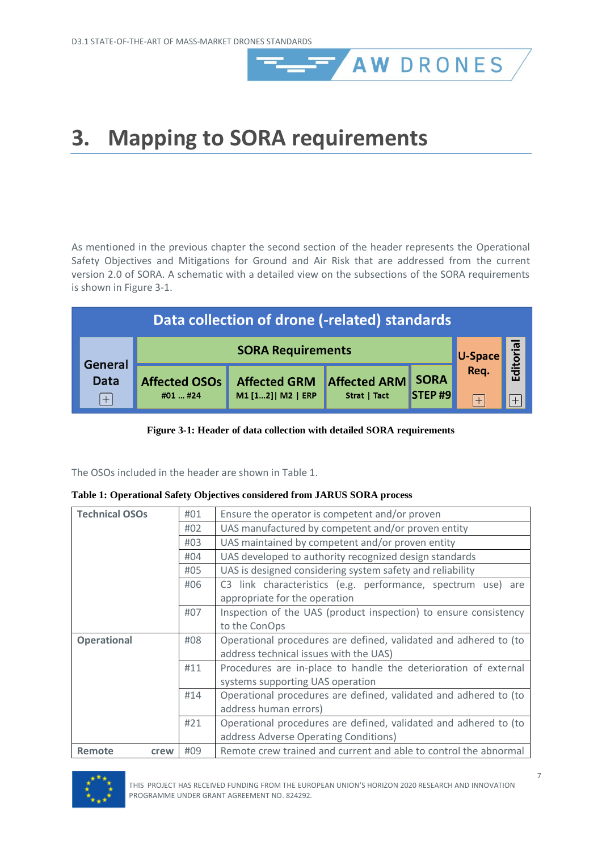# <span id="page-10-0"></span>**3. Mapping to SORA requirements**

As mentioned in the previous chapter the second section of the header represents the Operational Safety Objectives and Mitigations for Ground and Air Risk that are addressed from the current version 2.0 of SORA. A schematic with a detailed view on the subsections of the SORA requirements is shown in [Figure 3-1.](#page-10-1)

AW DRONES

| Data collection of drone (-related) standards |                          |                     |                          |        |                 |         |
|-----------------------------------------------|--------------------------|---------------------|--------------------------|--------|-----------------|---------|
|                                               | <b>SORA Requirements</b> |                     |                          |        |                 | ditoria |
| <b>General</b><br><b>Data</b>                 | Affected OSOs            | <b>Affected GRM</b> | <b>Affected ARM SORA</b> |        | U-Space<br>Req. | ய       |
| $^{+}$                                        | #01  #24                 | M1 [12]   M2   ERP  | Strat   Tact             | STEP#9 | $\overline{+}$  |         |

#### **Figure 3-1: Header of data collection with detailed SORA requirements**

<span id="page-10-1"></span>The OSOs included in the header are shown in [Table 1.](#page-10-2)

<span id="page-10-2"></span>

|  | Table 1: Operational Safety Objectives considered from JARUS SORA process |  |  |  |  |
|--|---------------------------------------------------------------------------|--|--|--|--|
|  |                                                                           |  |  |  |  |

| <b>Technical OSOs</b> | #01                                                              | Ensure the operator is competent and/or proven                   |  |  |  |  |
|-----------------------|------------------------------------------------------------------|------------------------------------------------------------------|--|--|--|--|
|                       | #02                                                              | UAS manufactured by competent and/or proven entity               |  |  |  |  |
|                       | #03                                                              | UAS maintained by competent and/or proven entity                 |  |  |  |  |
|                       | #04                                                              | UAS developed to authority recognized design standards           |  |  |  |  |
|                       | #05                                                              | UAS is designed considering system safety and reliability        |  |  |  |  |
|                       | #06                                                              | C3 link characteristics (e.g. performance, spectrum use) are     |  |  |  |  |
|                       |                                                                  | appropriate for the operation                                    |  |  |  |  |
|                       | #07                                                              | Inspection of the UAS (product inspection) to ensure consistency |  |  |  |  |
|                       |                                                                  | to the ConOps                                                    |  |  |  |  |
| <b>Operational</b>    | Operational procedures are defined, validated and adhered to (to |                                                                  |  |  |  |  |
|                       |                                                                  | address technical issues with the UAS)                           |  |  |  |  |
|                       | #11                                                              | Procedures are in-place to handle the deterioration of external  |  |  |  |  |
|                       |                                                                  | systems supporting UAS operation                                 |  |  |  |  |
|                       | #14                                                              | Operational procedures are defined, validated and adhered to (to |  |  |  |  |
|                       |                                                                  | address human errors)                                            |  |  |  |  |
|                       | #21                                                              | Operational procedures are defined, validated and adhered to (to |  |  |  |  |
|                       |                                                                  | address Adverse Operating Conditions)                            |  |  |  |  |
| Remote<br>crew        | #09                                                              | Remote crew trained and current and able to control the abnormal |  |  |  |  |

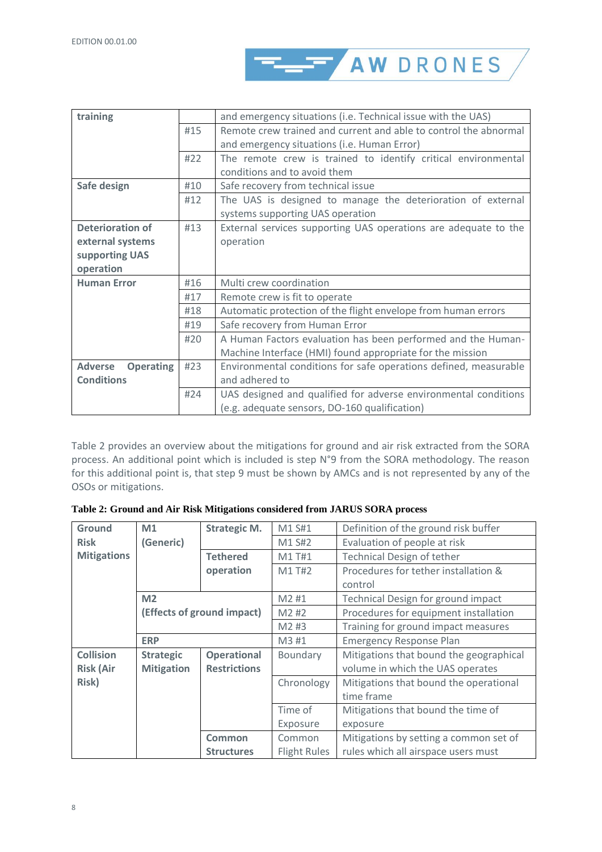

| training                           | and emergency situations (i.e. Technical issue with the UAS)    |                                                                  |
|------------------------------------|-----------------------------------------------------------------|------------------------------------------------------------------|
|                                    | #15                                                             | Remote crew trained and current and able to control the abnormal |
|                                    |                                                                 | and emergency situations (i.e. Human Error)                      |
|                                    | #22                                                             | The remote crew is trained to identify critical environmental    |
|                                    |                                                                 | conditions and to avoid them                                     |
| Safe design                        | #10                                                             | Safe recovery from technical issue                               |
|                                    | #12                                                             | The UAS is designed to manage the deterioration of external      |
|                                    |                                                                 | systems supporting UAS operation                                 |
| <b>Deterioration of</b>            | External services supporting UAS operations are adequate to the |                                                                  |
| external systems                   |                                                                 | operation                                                        |
| supporting UAS                     |                                                                 |                                                                  |
| operation                          |                                                                 |                                                                  |
| <b>Human Error</b>                 | #16                                                             | Multi crew coordination                                          |
|                                    | #17                                                             | Remote crew is fit to operate                                    |
|                                    | #18                                                             | Automatic protection of the flight envelope from human errors    |
|                                    | #19                                                             | Safe recovery from Human Error                                   |
|                                    | #20                                                             | A Human Factors evaluation has been performed and the Human-     |
|                                    |                                                                 | Machine Interface (HMI) found appropriate for the mission        |
| <b>Adverse</b><br><b>Operating</b> | #23                                                             | Environmental conditions for safe operations defined, measurable |
| <b>Conditions</b>                  |                                                                 | and adhered to                                                   |
|                                    | #24                                                             | UAS designed and qualified for adverse environmental conditions  |
|                                    |                                                                 | (e.g. adequate sensors, DO-160 qualification)                    |

[Table 2](#page-11-0) provides an overview about the mitigations for ground and air risk extracted from the SORA process. An additional point which is included is step N°9 from the SORA methodology. The reason for this additional point is, that step 9 must be shown by AMCs and is not represented by any of the OSOs or mitigations.

<span id="page-11-0"></span>

| Table 2: Ground and Air Risk Mitigations considered from JARUS SORA process |  |
|-----------------------------------------------------------------------------|--|
|-----------------------------------------------------------------------------|--|

| Ground             | M1                | <b>Strategic M.</b>        | M1 S#1              | Definition of the ground risk buffer    |
|--------------------|-------------------|----------------------------|---------------------|-----------------------------------------|
| <b>Risk</b>        | (Generic)         |                            | M1 S#2              | Evaluation of people at risk            |
| <b>Mitigations</b> |                   | <b>Tethered</b>            | M1 T#1              | Technical Design of tether              |
|                    |                   | operation                  | M1 T#2              | Procedures for tether installation &    |
|                    |                   |                            |                     | control                                 |
|                    | M <sub>2</sub>    |                            | M2#1                | Technical Design for ground impact      |
|                    |                   | (Effects of ground impact) | M2#2                | Procedures for equipment installation   |
|                    |                   |                            | M2 #3               | Training for ground impact measures     |
|                    | <b>ERP</b>        |                            | M3 #1               | <b>Emergency Response Plan</b>          |
| <b>Collision</b>   | <b>Strategic</b>  | <b>Operational</b>         | Boundary            | Mitigations that bound the geographical |
| <b>Risk (Air</b>   | <b>Mitigation</b> | <b>Restrictions</b>        |                     | volume in which the UAS operates        |
| <b>Risk)</b>       |                   |                            | Chronology          | Mitigations that bound the operational  |
|                    |                   |                            |                     | time frame                              |
|                    |                   |                            | Time of             | Mitigations that bound the time of      |
|                    |                   |                            | Exposure            | exposure                                |
|                    |                   | Common                     | Common              | Mitigations by setting a common set of  |
|                    |                   | <b>Structures</b>          | <b>Flight Rules</b> | rules which all airspace users must     |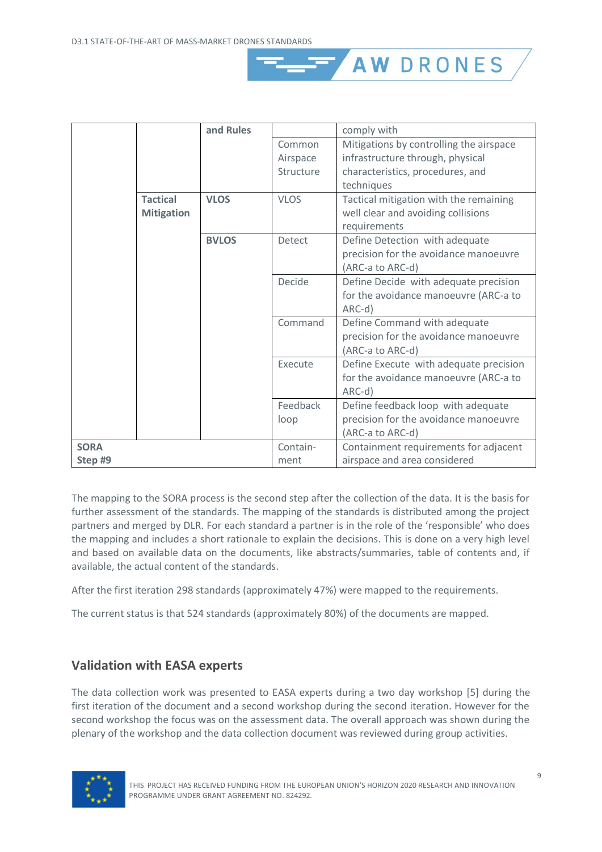|             |                                      | and Rules    |             | comply with                                                                                  |
|-------------|--------------------------------------|--------------|-------------|----------------------------------------------------------------------------------------------|
|             |                                      |              | Common      | Mitigations by controlling the airspace                                                      |
|             |                                      |              | Airspace    | infrastructure through, physical                                                             |
|             |                                      |              | Structure   | characteristics, procedures, and                                                             |
|             |                                      |              |             | techniques                                                                                   |
|             | <b>Tactical</b><br><b>Mitigation</b> | <b>VLOS</b>  | <b>VLOS</b> | Tactical mitigation with the remaining<br>well clear and avoiding collisions<br>requirements |
|             |                                      | <b>BVLOS</b> | Detect      | Define Detection with adequate                                                               |
|             |                                      |              |             | precision for the avoidance manoeuvre                                                        |
|             |                                      |              |             | (ARC-a to ARC-d)                                                                             |
|             |                                      |              | Decide      | Define Decide with adequate precision                                                        |
|             |                                      |              |             | for the avoidance manoeuvre (ARC-a to                                                        |
|             |                                      |              |             | ARC-d)                                                                                       |
|             |                                      |              | Command     | Define Command with adequate                                                                 |
|             |                                      |              |             | precision for the avoidance manoeuvre                                                        |
|             |                                      |              |             | (ARC-a to ARC-d)                                                                             |
|             |                                      |              | Execute     | Define Execute with adequate precision                                                       |
|             |                                      |              |             | for the avoidance manoeuvre (ARC-a to                                                        |
|             |                                      |              |             | ARC-d)                                                                                       |
|             |                                      |              | Feedback    | Define feedback loop with adequate                                                           |
|             |                                      |              | loop        | precision for the avoidance manoeuvre                                                        |
|             |                                      |              |             | (ARC-a to ARC-d)                                                                             |
| <b>SORA</b> |                                      |              | Contain-    | Containment requirements for adjacent                                                        |
| Step #9     |                                      |              | ment        | airspace and area considered                                                                 |

**AW DRONES** 

The mapping to the SORA process is the second step after the collection of the data. It is the basis for further assessment of the standards. The mapping of the standards is distributed among the project partners and merged by DLR. For each standard a partner is in the role of the 'responsible' who does the mapping and includes a short rationale to explain the decisions. This is done on a very high level and based on available data on the documents, like abstracts/summaries, table of contents and, if available, the actual content of the standards.

After the first iteration 298 standards (approximately 47%) were mapped to the requirements.

The current status is that 524 standards (approximately 80%) of the documents are mapped.

### <span id="page-12-0"></span>**Validation with EASA experts**

The data collection work was presented to EASA experts during a two day workshop [\[5\]](#page-18-12) during the first iteration of the document and a second workshop during the second iteration. However for the second workshop the focus was on the assessment data. The overall approach was shown during the plenary of the workshop and the data collection document was reviewed during group activities.

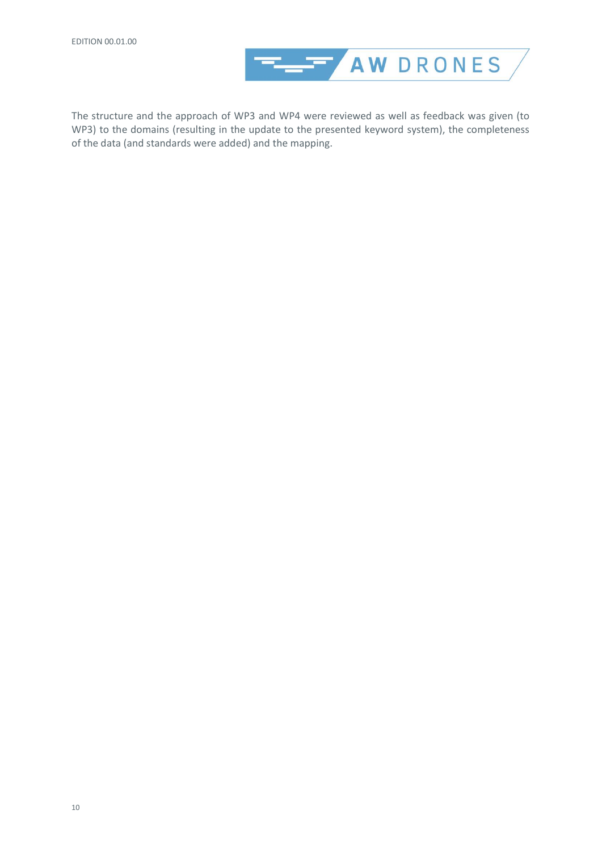

The structure and the approach of WP3 and WP4 were reviewed as well as feedback was given (to WP3) to the domains (resulting in the update to the presented keyword system), the completeness of the data (and standards were added) and the mapping.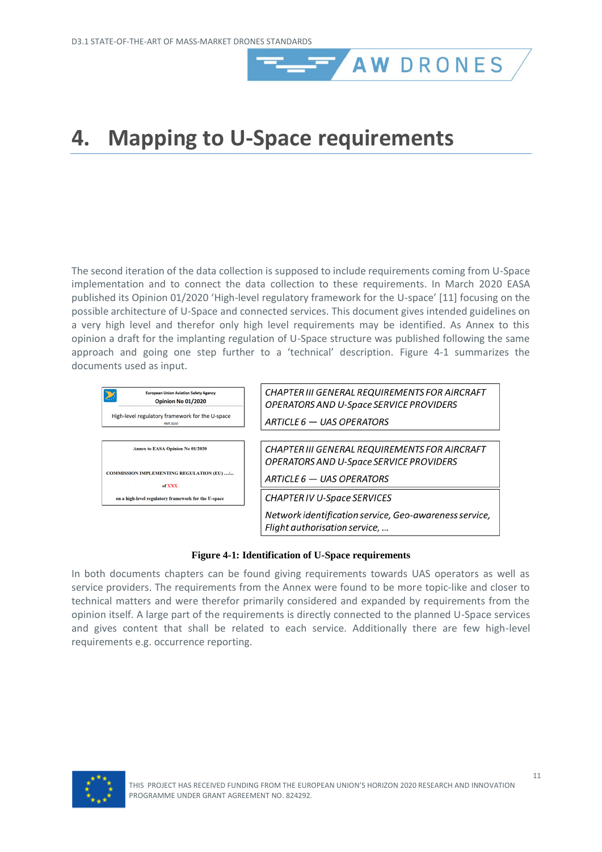# <span id="page-14-0"></span>**4. Mapping to U-Space requirements**

The second iteration of the data collection is supposed to include requirements coming from U-Space implementation and to connect the data collection to these requirements. In March 2020 EASA published its Opinion 01/2020 'High-level regulatory framework for the U-space' [\[11\]](#page-18-3) focusing on the possible architecture of U-Space and connected services. This document gives intended guidelines on a very high level and therefor only high level requirements may be identified. As Annex to this opinion a draft for the implanting regulation of U-Space structure was published following the same approach and going one step further to a 'technical' description. [Figure 4-1](#page-14-1) summarizes the documents used as input.

**AW DRONES** 



#### **Figure 4-1: Identification of U-Space requirements**

<span id="page-14-1"></span>In both documents chapters can be found giving requirements towards UAS operators as well as service providers. The requirements from the Annex were found to be more topic-like and closer to technical matters and were therefor primarily considered and expanded by requirements from the opinion itself. A large part of the requirements is directly connected to the planned U-Space services and gives content that shall be related to each service. Additionally there are few high-level requirements e.g. occurrence reporting.

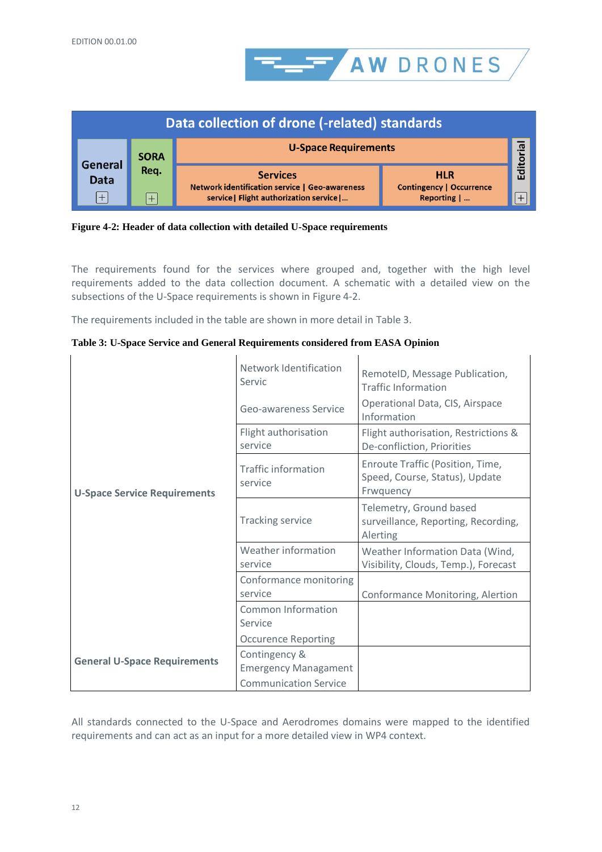

|                    |             | Data collection of drone (-related) standards                                                                      |                                                            |       |
|--------------------|-------------|--------------------------------------------------------------------------------------------------------------------|------------------------------------------------------------|-------|
| <b>General</b>     | <b>SORA</b> | <b>U-Space Requirements</b>                                                                                        |                                                            | ത     |
| <b>Data</b><br>$+$ | Req.<br>$+$ | <b>Services</b><br><b>Network identification service   Geo-awareness</b><br>service   Flight authorization service | <b>HLR</b><br><b>Contingency   Occurrence</b><br>Reporting | Edito |

<span id="page-15-0"></span>

The requirements found for the services where grouped and, together with the high level requirements added to the data collection document. A schematic with a detailed view on the subsections of the U-Space requirements is shown in [Figure 4-2.](#page-15-0)

The requirements included in the table are shown in more detail in [Table 3.](#page-15-1)

|                                     | Network Identification<br>Servic      | RemotelD, Message Publication,<br><b>Traffic Information</b>                    |
|-------------------------------------|---------------------------------------|---------------------------------------------------------------------------------|
|                                     | Geo-awareness Service                 | Operational Data, CIS, Airspace<br>Information                                  |
|                                     | Flight authorisation<br>service       | Flight authorisation, Restrictions &<br>De-confliction, Priorities              |
| <b>U-Space Service Requirements</b> | <b>Traffic information</b><br>service | Enroute Traffic (Position, Time,<br>Speed, Course, Status), Update<br>Frwquency |
|                                     | <b>Tracking service</b>               | Telemetry, Ground based<br>surveillance, Reporting, Recording,<br>Alerting      |
|                                     | Weather information<br>service        | Weather Information Data (Wind,<br>Visibility, Clouds, Temp.), Forecast         |
|                                     | Conformance monitoring<br>service     | Conformance Monitoring, Alertion                                                |
|                                     | <b>Common Information</b><br>Service  |                                                                                 |
|                                     | <b>Occurence Reporting</b>            |                                                                                 |
| <b>General U-Space Requirements</b> | Contingency &                         |                                                                                 |
|                                     | <b>Emergency Managament</b>           |                                                                                 |
|                                     | <b>Communication Service</b>          |                                                                                 |

<span id="page-15-1"></span>**Table 3: U-Space Service and General Requirements considered from EASA Opinion**

All standards connected to the U-Space and Aerodromes domains were mapped to the identified requirements and can act as an input for a more detailed view in WP4 context.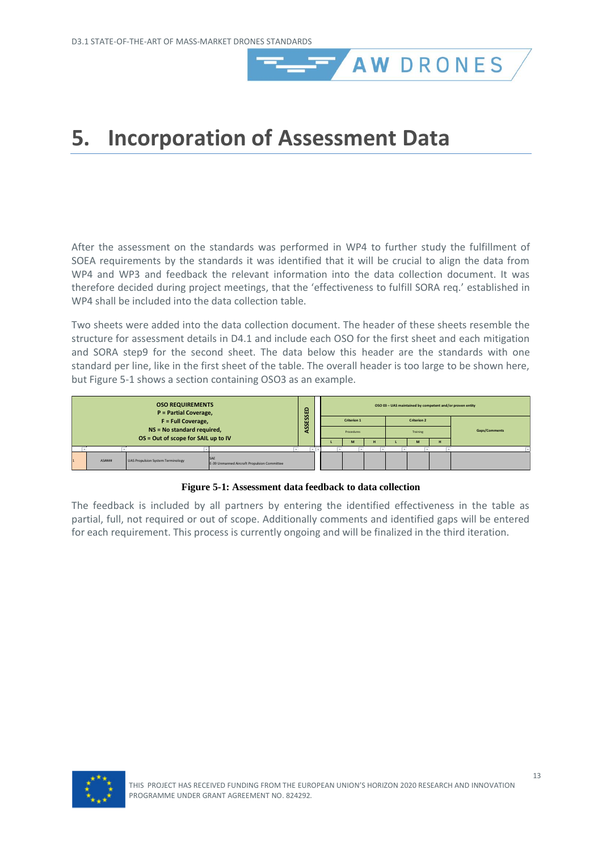# <span id="page-16-0"></span>**5. Incorporation of Assessment Data**

After the assessment on the standards was performed in WP4 to further study the fulfillment of SOEA requirements by the standards it was identified that it will be crucial to align the data from WP4 and WP3 and feedback the relevant information into the data collection document. It was therefore decided during project meetings, that the 'effectiveness to fulfill SORA req.' established in WP4 shall be included into the data collection table.

AW DRONES

Two sheets were added into the data collection document. The header of these sheets resemble the structure for assessment details in D4.1 and include each OSO for the first sheet and each mitigation and SORA step9 for the second sheet. The data below this header are the standards with one standard per line, like in the first sheet of the table. The overall header is too large to be shown here, bu[t Figure 5-1](#page-16-1) shows a section containing OSO3 as an example.



#### **Figure 5-1: Assessment data feedback to data collection**

<span id="page-16-1"></span>The feedback is included by all partners by entering the identified effectiveness in the table as partial, full, not required or out of scope. Additionally comments and identified gaps will be entered for each requirement. This process is currently ongoing and will be finalized in the third iteration.

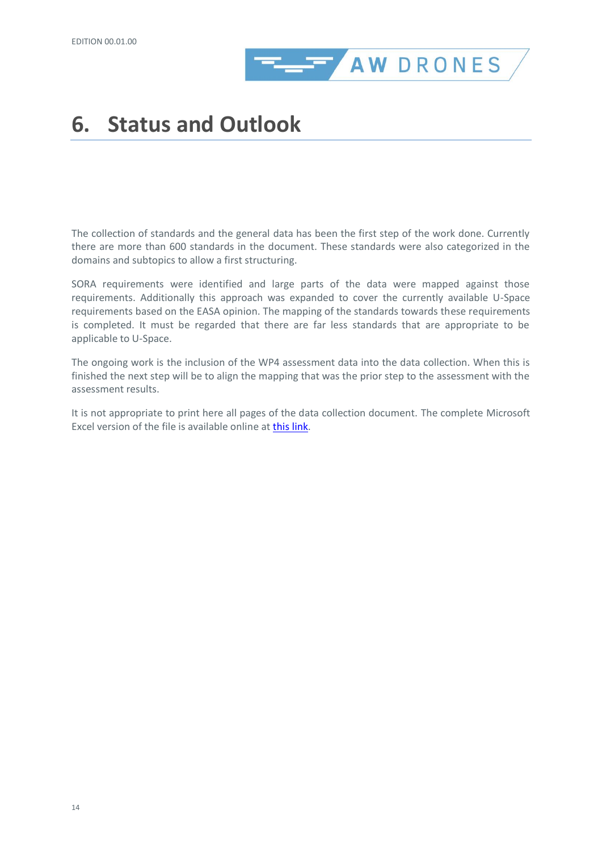

# <span id="page-17-0"></span>**6. Status and Outlook**

The collection of standards and the general data has been the first step of the work done. Currently there are more than 600 standards in the document. These standards were also categorized in the domains and subtopics to allow a first structuring.

SORA requirements were identified and large parts of the data were mapped against those requirements. Additionally this approach was expanded to cover the currently available U-Space requirements based on the EASA opinion. The mapping of the standards towards these requirements is completed. It must be regarded that there are far less standards that are appropriate to be applicable to U-Space.

The ongoing work is the inclusion of the WP4 assessment data into the data collection. When this is finished the next step will be to align the mapping that was the prior step to the assessment with the assessment results.

It is not appropriate to print here all pages of the data collection document. The complete Microsoft Excel version of the file is available online at [this link.](https://seafile.dblue.it/f/a3b17c673dba4a62a3de/?dl=1)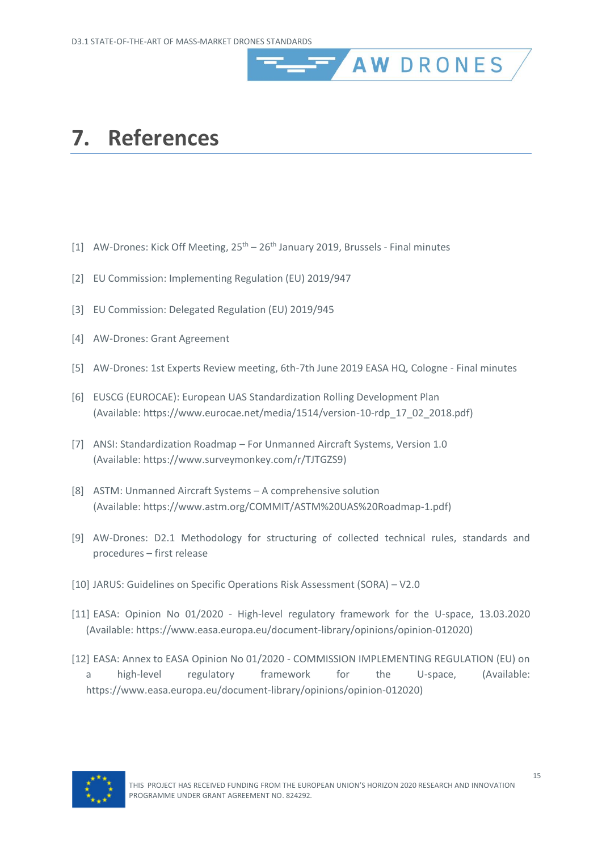### <span id="page-18-0"></span>**7. References**

- <span id="page-18-1"></span>[1] AW-Drones: Kick Off Meeting, 25<sup>th</sup> – 26<sup>th</sup> January 2019, Brussels - Final minutes
- <span id="page-18-2"></span>[2] EU Commission: Implementing Regulation (EU) 2019/947
- <span id="page-18-11"></span>[3] EU Commission: Delegated Regulation (EU) 2019/945
- <span id="page-18-6"></span>[4] AW-Drones: Grant Agreement
- <span id="page-18-12"></span>[5] AW-Drones: 1st Experts Review meeting, 6th-7th June 2019 EASA HQ, Cologne - Final minutes

AW DRONES

- <span id="page-18-5"></span>[6] EUSCG (EUROCAE): European UAS Standardization Rolling Development Plan (Available[: https://www.eurocae.net/media/1514/version-10-rdp\\_17\\_02\\_2018.pdf\)](https://www.eurocae.net/media/1514/version-10-rdp_17_02_2018.pdf)
- <span id="page-18-7"></span>[7] ANSI: Standardization Roadmap – For Unmanned Aircraft Systems, Version 1.0 (Available[: https://www.surveymonkey.com/r/TJTGZS9\)](https://www.surveymonkey.com/r/TJTGZS9)
- <span id="page-18-8"></span>[8] ASTM: Unmanned Aircraft Systems – A comprehensive solution (Available[: https://www.astm.org/COMMIT/ASTM%20UAS%20Roadmap-1.pdf\)](https://www.astm.org/COMMIT/ASTM%20UAS%20Roadmap-1.pdf)
- <span id="page-18-9"></span>[9] AW-Drones: D2.1 Methodology for structuring of collected technical rules, standards and procedures – first release
- <span id="page-18-10"></span>[10] JARUS: Guidelines on Specific Operations Risk Assessment (SORA) – V2.0
- <span id="page-18-3"></span>[11] EASA: Opinion No 01/2020 - High-level regulatory framework for the U-space, 13.03.2020 (Available: https://www.easa.europa.eu/document-library/opinions/opinion-012020)
- <span id="page-18-4"></span>[12] EASA: Annex to EASA Opinion No 01/2020 - COMMISSION IMPLEMENTING REGULATION (EU) on a high-level regulatory framework for the U-space, (Available: https://www.easa.europa.eu/document-library/opinions/opinion-012020)

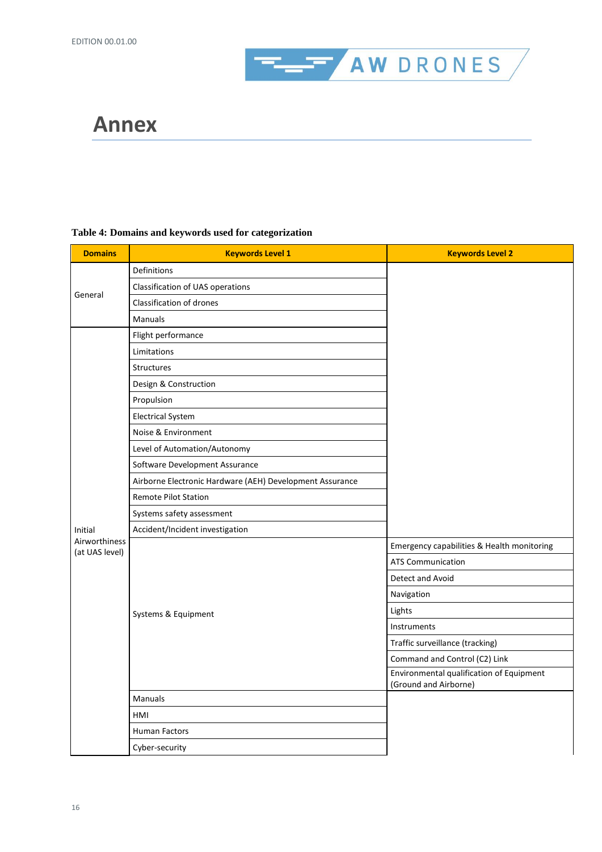

### <span id="page-19-0"></span>**Annex**

### **Table 4: Domains and keywords used for categorization**

| <b>Domains</b>                  | <b>Keywords Level 1</b>                                  | <b>Keywords Level 2</b>                                           |
|---------------------------------|----------------------------------------------------------|-------------------------------------------------------------------|
|                                 | Definitions                                              |                                                                   |
|                                 | Classification of UAS operations                         |                                                                   |
| General                         | <b>Classification of drones</b>                          |                                                                   |
|                                 | Manuals                                                  |                                                                   |
|                                 | Flight performance                                       |                                                                   |
|                                 | Limitations                                              |                                                                   |
|                                 | <b>Structures</b>                                        |                                                                   |
|                                 | Design & Construction                                    |                                                                   |
|                                 | Propulsion                                               |                                                                   |
|                                 | <b>Electrical System</b>                                 |                                                                   |
|                                 | Noise & Environment                                      |                                                                   |
|                                 | Level of Automation/Autonomy                             |                                                                   |
|                                 | Software Development Assurance                           |                                                                   |
|                                 | Airborne Electronic Hardware (AEH) Development Assurance |                                                                   |
|                                 | Remote Pilot Station                                     |                                                                   |
|                                 | Systems safety assessment                                |                                                                   |
| Initial                         | Accident/Incident investigation                          |                                                                   |
| Airworthiness<br>(at UAS level) |                                                          | Emergency capabilities & Health monitoring                        |
|                                 |                                                          | <b>ATS Communication</b>                                          |
|                                 |                                                          | Detect and Avoid                                                  |
|                                 |                                                          | Navigation                                                        |
|                                 | Systems & Equipment                                      | Lights                                                            |
|                                 |                                                          | Instruments                                                       |
|                                 |                                                          | Traffic surveillance (tracking)                                   |
|                                 |                                                          | Command and Control (C2) Link                                     |
|                                 |                                                          | Environmental qualification of Equipment<br>(Ground and Airborne) |
|                                 | Manuals                                                  |                                                                   |
|                                 | HMI                                                      |                                                                   |
|                                 | <b>Human Factors</b>                                     |                                                                   |
|                                 | Cyber-security                                           |                                                                   |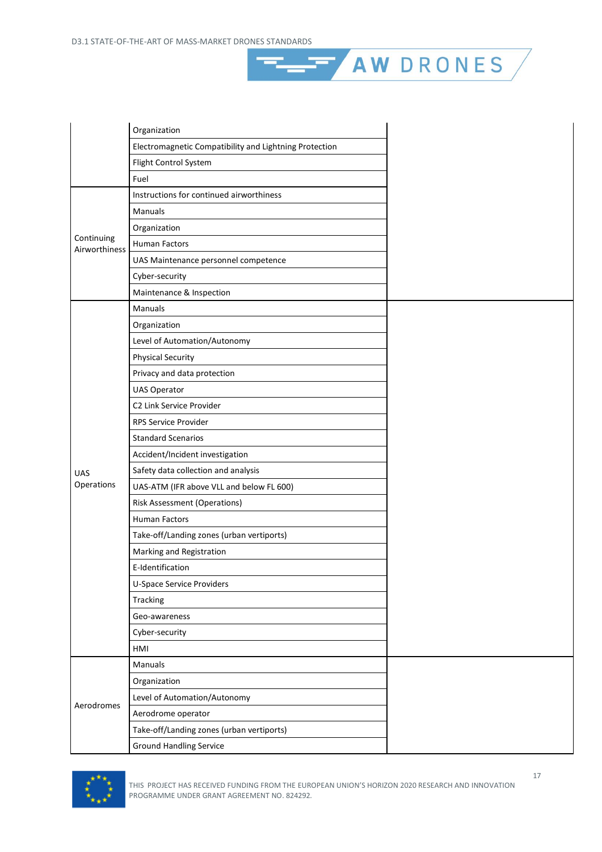

AW DRONES